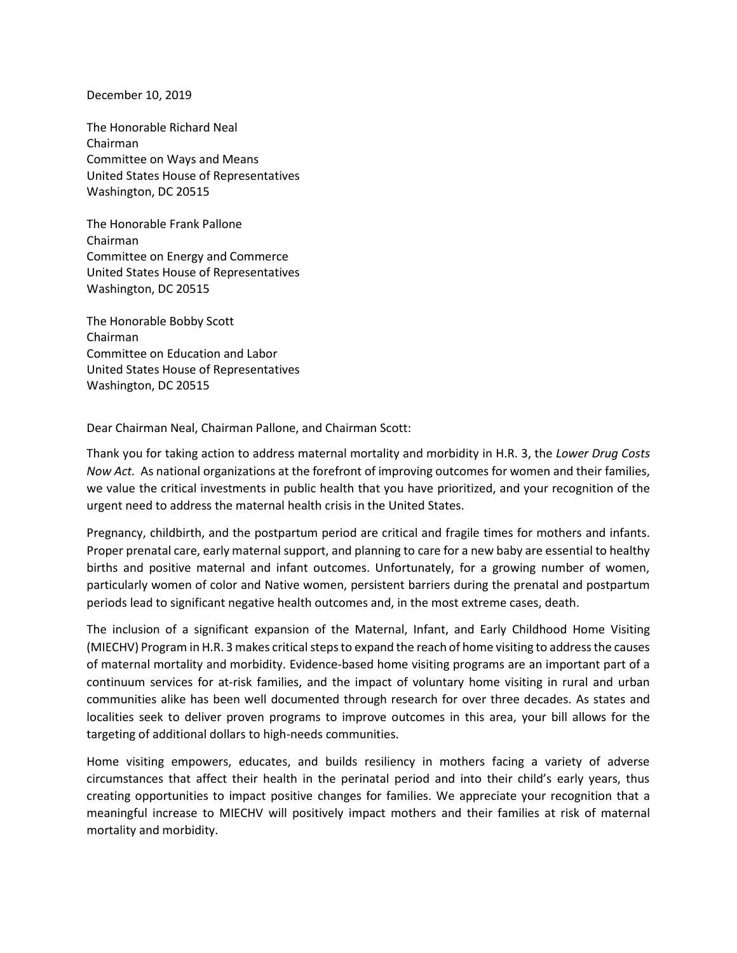December 10, 2019

The Honorable Richard Neal Chairman Committee on Ways and Means United States House of Representatives Washington, DC 20515

The Honorable Frank Pallone Chairman Committee on Energy and Commerce United States House of Representatives Washington, DC 20515

The Honorable Bobby Scott Chairman Committee on Education and Labor United States House of Representatives Washington, DC 20515

Dear Chairman Neal, Chairman Pallone, and Chairman Scott:

Thank you for taking action to address maternal mortality and morbidity in H.R. 3, the *Lower Drug Costs Now Act.* As national organizations at the forefront of improving outcomes for women and their families, we value the critical investments in public health that you have prioritized, and your recognition of the urgent need to address the maternal health crisis in the United States.

Pregnancy, childbirth, and the postpartum period are critical and fragile times for mothers and infants. Proper prenatal care, early maternal support, and planning to care for a new baby are essential to healthy births and positive maternal and infant outcomes. Unfortunately, for a growing number of women, particularly women of color and Native women, persistent barriers during the prenatal and postpartum periods lead to significant negative health outcomes and, in the most extreme cases, death.

The inclusion of a significant expansion of the Maternal, Infant, and Early Childhood Home Visiting (MIECHV) Program in H.R. 3 makes critical steps to expand the reach of home visiting to address the causes of maternal mortality and morbidity. Evidence-based home visiting programs are an important part of a continuum services for at-risk families, and the impact of voluntary home visiting in rural and urban communities alike has been well documented through research for over three decades. As states and localities seek to deliver proven programs to improve outcomes in this area, your bill allows for the targeting of additional dollars to high-needs communities.

Home visiting empowers, educates, and builds resiliency in mothers facing a variety of adverse circumstances that affect their health in the perinatal period and into their child's early years, thus creating opportunities to impact positive changes for families. We appreciate your recognition that a meaningful increase to MIECHV will positively impact mothers and their families at risk of maternal mortality and morbidity.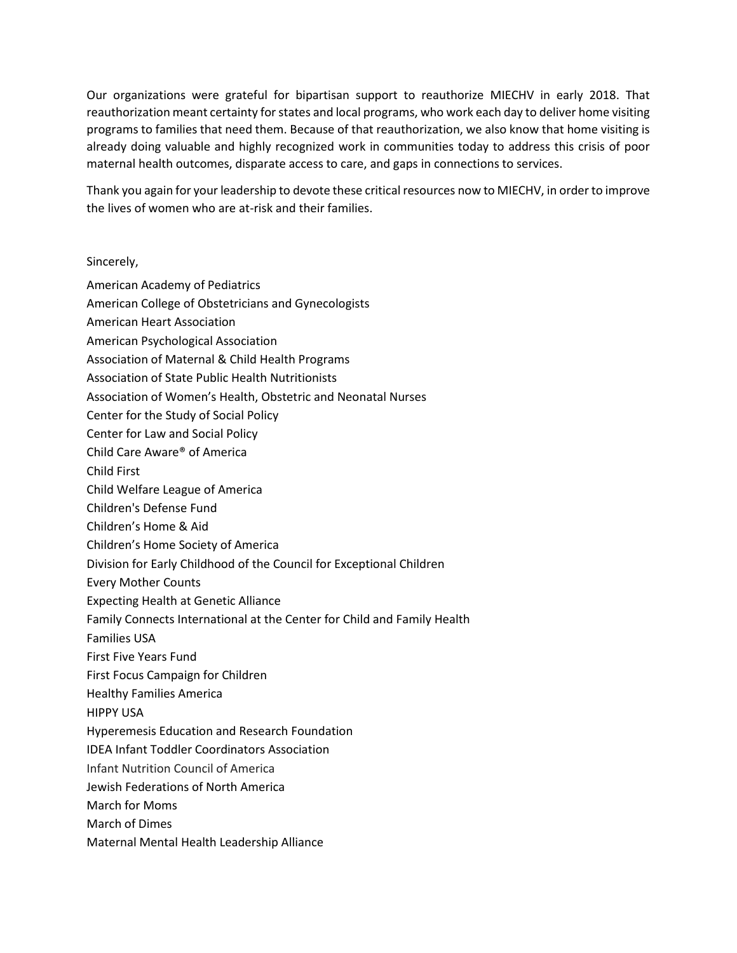Our organizations were grateful for bipartisan support to reauthorize MIECHV in early 2018. That reauthorization meant certainty for states and local programs, who work each day to deliver home visiting programs to families that need them. Because of that reauthorization, we also know that home visiting is already doing valuable and highly recognized work in communities today to address this crisis of poor maternal health outcomes, disparate access to care, and gaps in connections to services.

Thank you again for your leadership to devote these critical resources now to MIECHV, in order to improve the lives of women who are at-risk and their families.

## Sincerely,

- American Academy of Pediatrics
- American College of Obstetricians and Gynecologists
- American Heart Association
- American Psychological Association
- Association of Maternal & Child Health Programs
- Association of State Public Health Nutritionists
- Association of Women's Health, Obstetric and Neonatal Nurses
- Center for the Study of Social Policy
- Center for Law and Social Policy
- Child Care Aware® of America
- Child First
- Child Welfare League of America
- Children's Defense Fund
- Children's Home & Aid
- Children's Home Society of America
- Division for Early Childhood of the Council for Exceptional Children
- Every Mother Counts
- Expecting Health at Genetic Alliance
- Family Connects International at the Center for Child and Family Health
- Families USA
- First Five Years Fund
- First Focus Campaign for Children
- Healthy Families America
- HIPPY USA
- Hyperemesis Education and Research Foundation
- IDEA Infant Toddler Coordinators Association
- Infant Nutrition Council of America
- Jewish Federations of North America
- March for Moms
- March of Dimes
- Maternal Mental Health Leadership Alliance